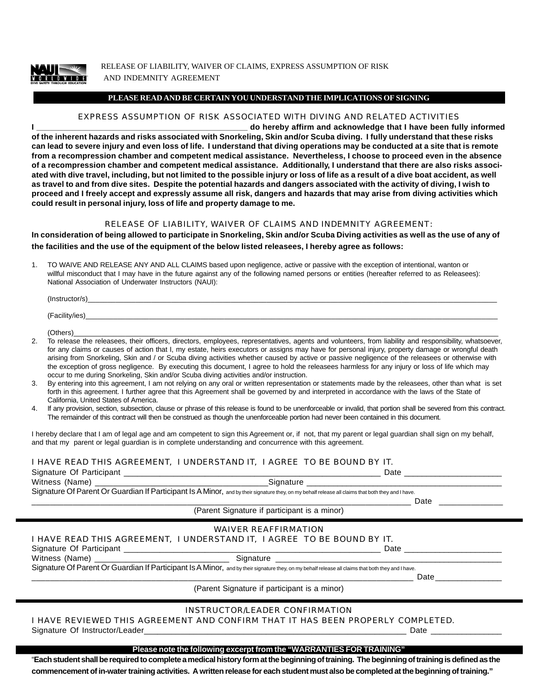

RELEASE OF LIABILITY, WAIVER OF CLAIMS, EXPRESS ASSUMPTION OF RISK AND INDEMNITY AGREEMENT

## **PLEASE READ AND BE CERTAIN YOU UNDERSTAND THE IMPLICATIONS OF SIGNING**

# EXPRESS ASSUMPTION OF RISK ASSOCIATED WITH DIVING AND RELATED ACTIVITIES

**I \_\_\_\_\_\_\_\_\_\_\_\_\_\_\_\_\_\_\_\_\_\_\_\_\_\_\_\_\_\_\_\_\_\_\_\_\_\_\_\_\_\_\_\_\_\_\_ do hereby affirm and acknowledge that I have been fully informed of the inherent hazards and risks associated with Snorkeling, Skin and/or Scuba diving. I fully understand that these risks can lead to severe injury and even loss of life. I understand that diving operations may be conducted at a site that is remote from a recompression chamber and competent medical assistance. Nevertheless, I choose to proceed even in the absence of a recompression chamber and competent medical assistance. Additionally, I understand that there are also risks associated with dive travel, including, but not limited to the possible injury or loss of life as a result of a dive boat accident, as well as travel to and from dive sites. Despite the potential hazards and dangers associated with the activity of diving, I wish to proceed and I freely accept and expressly assume all risk, dangers and hazards that may arise from diving activities which could result in personal injury, loss of life and property damage to me.**

#### RELEASE OF LIABILITY, WAIVER OF CLAIMS AND INDEMNITY AGREEMENT:

**In consideration of being allowed to participate in Snorkeling, Skin and/or Scuba Diving activities as well as the use of any of the facilities and the use of the equipment of the below listed releasees, I hereby agree as follows:**

1. TO WAIVE AND RELEASE ANY AND ALL CLAIMS based upon negligence, active or passive with the exception of intentional, wanton or willful misconduct that I may have in the future against any of the following named persons or entities (hereafter referred to as Releasees): National Association of Underwater Instructors (NAUI):

| (Instructor/s)      |  |
|---------------------|--|
|                     |  |
| (Facility/ies)<br>. |  |

 $(\text{Others})_\textcolor{red}{\sum_{i=1}^{n}}$ 

- 2. To release the releasees, their officers, directors, employees, representatives, agents and volunteers, from liability and responsibility, whatsoever, for any claims or causes of action that I, my estate, heirs executors or assigns may have for personal injury, property damage or wrongful death arising from Snorkeling, Skin and / or Scuba diving activities whether caused by active or passive negligence of the releasees or otherwise with the exception of gross negligence. By executing this document, I agree to hold the releasees harmless for any injury or loss of life which may occur to me during Snorkeling, Skin and/or Scuba diving activities and/or instruction.
- 3. By entering into this agreement, I am not relying on any oral or written representation or statements made by the releasees, other than what is set forth in this agreement. I further agree that this Agreement shall be governed by and interpreted in accordance with the laws of the State of California, United States of America.
- 4. If any provision, section, subsection, clause or phrase of this release is found to be unenforceable or invalid, that portion shall be severed from this contract. The remainder of this contract will then be construed as though the unenforceable portion had never been contained in this document.

I hereby declare that I am of legal age and am competent to sign this Agreement or, if not, that my parent or legal guardian shall sign on my behalf, and that my parent or legal guardian is in complete understanding and concurrence with this agreement.

# I HAVE READ THIS AGREEMENT, I UNDERSTAND IT, I AGREE TO BE BOUND BY IT.

| Signature Of Participant                                                                                                                           | Date      |  |  |  |
|----------------------------------------------------------------------------------------------------------------------------------------------------|-----------|--|--|--|
| Witness (Name)                                                                                                                                     | Sianature |  |  |  |
| Signature Of Parent Or Guardian If Participant Is A Minor, and by their signature they, on my behalf release all claims that both they and I have. |           |  |  |  |
|                                                                                                                                                    | Date      |  |  |  |

#### (Parent Signature if participant is a minor)

|                                                                                                                                                    | WAIVER REAFFIRMATION |      |  |  |  |
|----------------------------------------------------------------------------------------------------------------------------------------------------|----------------------|------|--|--|--|
| I HAVE READ THIS AGREEMENT, I UNDERSTAND IT, I AGREE TO BE BOUND BY IT.                                                                            |                      |      |  |  |  |
|                                                                                                                                                    | Date                 |      |  |  |  |
|                                                                                                                                                    |                      |      |  |  |  |
| Signature Of Parent Or Guardian If Participant Is A Minor, and by their signature they, on my behalf release all claims that both they and I have. |                      |      |  |  |  |
|                                                                                                                                                    |                      | Date |  |  |  |
| (Parent Signature if participant is a minor)                                                                                                       |                      |      |  |  |  |

# INSTRUCTOR/LEADER CONFIRMATION

I HAVE REVIEWED THIS AGREEMENT AND CONFIRM THAT IT HAS BEEN PROPERLY COMPLETED.

Signature Of Instructor/Leader\_\_\_\_\_\_\_\_\_\_\_\_\_\_\_\_\_\_\_\_\_\_\_\_\_\_\_\_\_\_\_\_\_\_\_\_\_\_\_\_\_\_\_\_\_\_\_\_\_\_\_\_\_\_\_\_\_\_ Date \_\_\_\_\_\_\_\_\_\_\_\_\_\_\_\_

## **Please note the following excerpt from the "WARRANTIES FOR TRAINING"**

"**Each student shall be required to complete a medical history form at the beginning of training. The beginning of training is defined as the commencement of in-water training activities. A written release for each student must also be completed at the beginning of training."**